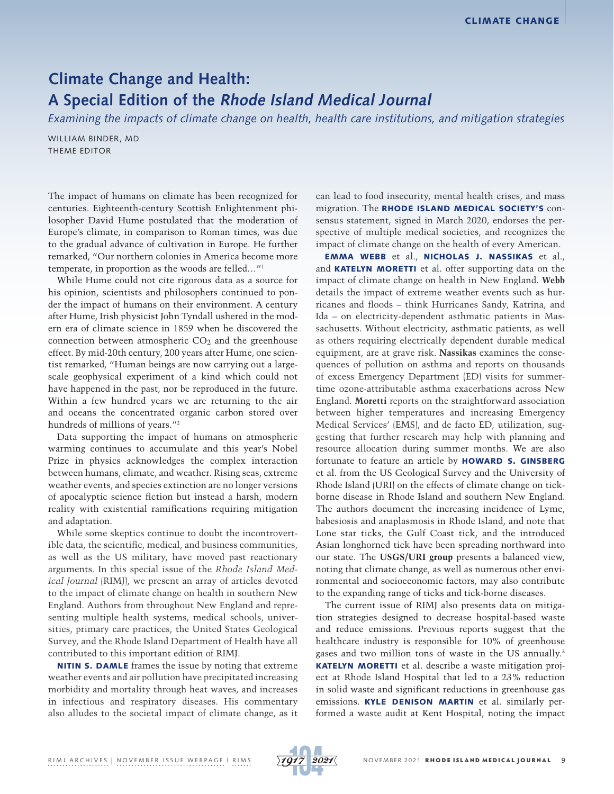## **Climate Change and Health: A Special Edition of the Rhode Island Medical Journal**

*Examining the impacts of climate change on health, health care institutions, and mitigation strategies*

WILLIAM BINDER, MD THEME EDITOR

The impact of humans on climate has been recognized for centuries. Eighteenth-century Scottish Enlightenment philosopher David Hume postulated that the moderation of Europe's climate, in comparison to Roman times, was due to the gradual advance of cultivation in Europe. He further remarked, "Our northern colonies in America become more temperate, in proportion as the woods are felled…"1

While Hume could not cite rigorous data as a source for his opinion, scientists and philosophers continued to ponder the impact of humans on their environment. A century after Hume, Irish physicist John Tyndall ushered in the modern era of climate science in 1859 when he discovered the connection between atmospheric  $CO<sub>2</sub>$  and the greenhouse effect. By mid-20th century, 200 years after Hume, one scientist remarked, "Human beings are now carrying out a largescale geophysical experiment of a kind which could not have happened in the past, nor be reproduced in the future. Within a few hundred years we are returning to the air and oceans the concentrated organic carbon stored over hundreds of millions of years."2

Data supporting the impact of humans on atmospheric warming continues to accumulate and this year's Nobel Prize in physics acknowledges the complex interaction between humans, climate, and weather. Rising seas, extreme weather events, and species extinction are no longer versions of apocalyptic science fiction but instead a harsh, modern reality with existential ramifications requiring mitigation and adaptation.

While some skeptics continue to doubt the incontrovertible data, the scientific, medical, and business communities, as well as the US military, have moved past reactionary arguments. In this special issue of the *Rhode Island Medical Journal* (RIMJ), we present an array of articles devoted to the impact of climate change on health in southern New England. Authors from throughout New England and representing multiple health systems, medical schools, universities, primary care practices, the United States Geological Survey, and the Rhode Island Department of Health have all contributed to this important edition of RIMJ.

NITIN S. DAMLE frames the issue by noting that extreme weather events and air pollution have precipitated increasing morbidity and mortality through heat waves, and increases in infectious and respiratory diseases. His commentary also alludes to the societal impact of climate change, as it can lead to food insecurity, mental health crises, and mass migration. The RHODE ISLAND MEDICAL SOCIETY'S consensus statement, signed in March 2020, endorses the perspective of multiple medical societies, and recognizes the impact of climate change on the health of every American.

EMMA WEBB et al., NICHOLAS J. NASSIKAS et al., and **KATELYN MORETTI** et al. offer supporting data on the impact of climate change on health in New England. **Webb** details the impact of extreme weather events such as hurricanes and floods – think Hurricanes Sandy, Katrina, and Ida – on electricity-dependent asthmatic patients in Massachusetts. Without electricity, asthmatic patients, as well as others requiring electrically dependent durable medical equipment, are at grave risk. **Nassikas** examines the consequences of pollution on asthma and reports on thousands of excess Emergency Department (ED) visits for summertime ozone-attributable asthma exacerbations across New England. **Moretti** reports on the straightforward association between higher temperatures and increasing Emergency Medical Services' (EMS), and de facto ED, utilization, suggesting that further research may help with planning and resource allocation during summer months. We are also fortunate to feature an article by HOWARD S. GINSBERG et al. from the US Geological Survey and the University of Rhode Island (URI) on the effects of climate change on tickborne disease in Rhode Island and southern New England. The authors document the increasing incidence of Lyme, babesiosis and anaplasmosis in Rhode Island, and note that Lone star ticks, the Gulf Coast tick, and the introduced Asian longhorned tick have been spreading northward into our state. The **USGS/URI group** presents a balanced view, noting that climate change, as well as numerous other environmental and socioeconomic factors, may also contribute to the expanding range of ticks and tick-borne diseases.

The current issue of RIMJ also presents data on mitigation strategies designed to decrease hospital-based waste and reduce emissions. Previous reports suggest that the healthcare industry is responsible for 10% of greenhouse gases and two million tons of waste in the US annually.3 KATELYN MORETTI et al. describe a waste mitigation project at Rhode Island Hospital that led to a 23% reduction in solid waste and significant reductions in greenhouse gas emissions. KYLE DENISON MARTIN et al. similarly performed a waste audit at Kent Hospital, noting the impact